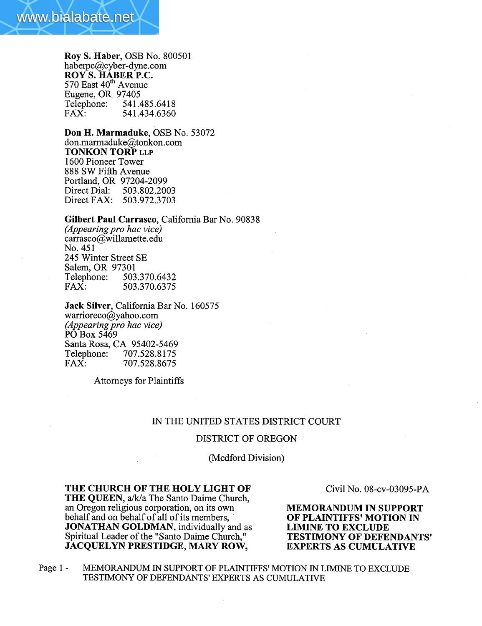

Roy S. Haber, OSB No. 800501 haberpc@cyber-dyne.com  $\overline{ROY}$  S. HABER P.C.<br>570 East  $40^{th}$  Avenue Eugene, OR 97405<br>Telephone: 541. Telephone: 541.485.6418<br>FAX: 541.434.6360 541.434.6360

Don H. Marmaduke, OSB No. 53072 don.marmaduke@tonkon.com TONKON TORP LLP 1600 Pioneer Tower 888 SW Fifth Avenue Portland, OR 97204-2099<br>Direct Dial: 503.802.200 Direct Dial: 503.802.2003 Direct FAX: 503.972.3703

#### Gilbert Paul Carrasco, California Bar No. 90838

(Appearing pro hac vice) carrasco@willamette.edu No. 451 245 Winter Street SE Salem, OR 97301<br>Telephone: 503.370.6432 Telephone: FAX: 503.370.6375

Jack Silver, California Bar No. 160575 warrioreco@yahoo.com (Appearing pro hac vice) PO Box 5469 Santa Rosa, CA 95402-5469<br>Telephone: 707.528.8175 Telephone: 707.528.8175<br>FAX: 707.528.8675 FAX: 707.528.8675

Attorneys for Plaintiffs

### IN THE UNITED STATES DISTRICT COURT

### DISTRICT OF OREGON

(Medford Division)

# THE CHURCH OF THE HOLY LIGHT OF

THE QUEEN, a/k/a The Santo Daime Church, an Oregon religious corporation, on its own behalf and on behalf of all of its members, . JONATHAN GOLDMAN, individually and as Spiritual Leader of the "Santo Daime Church," JACQUELYN PRESTIDGE, MARY ROW,

Civil No. 08-cv-03095-PA

MEMORADUM IN SUPPORT OF PLAINTIFFS' MOTION IN LIMINE TO EXCLUDE TESTIMONY OF DEFENDANTS' EXPERTS AS CUMULATIVE

Page 1 - MEMORANDUM IN SUPPORT OF PLAINTIFFS' MOTION IN LIMINE TO EXCLUDE TESTIMONY OF DEFENDANTS' EXPERTS AS CUMULATIVE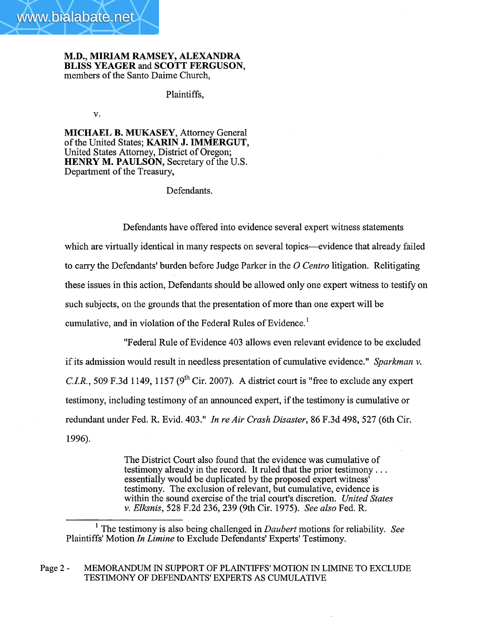

M.D., MIRIAM RAMSEY, ALEXADRA BLISS YEAGER and SCOTT FERGUSON, members of the Santo Daime Church,

Plaintiffs,

v.

MICHAEL B. MUKASEY, Attorney General of the United States; KARIN J. IMMERGUT, United States Attorney, District of Oregon; HENRY M. PAULSON, Secretary of the U.S. Department of the Treasury,

Defendants.

Defendants have offered into evidence several expert witness statements which are virtually identical in many respects on several topics—evidence that already failed to carry the Defendants' burden before Judge Parker in the O Centro litigation. Relitigating these issues in this action, Defendants should be allowed only one expert witness to testify on such subjects, on the grounds that the presentation of more than one expert wil be cumulative, and in violation of the Federal Rules of Evidence. 1

"Federal Rule of Evidence 403 allows even relevant evidence to be excluded if its admission would result in needless presentation of cumulative evidence." Sparkman v. C.I.R., 509 F.3d 1149, 1157 ( $9<sup>th</sup>$  Cir. 2007). A district court is "free to exclude any expert testimony, including testimony of an announced expert, if the testimony is cumulative or redundant under Fed. R. Evid. 403." In re Air Crash Disaster, 86 F.3d 498, 527 (6th Cir. 1996).

> The District Court also found that the evidence was cumulative of testimony already in the record. It ruled that the prior testimony. . . essentially would be duplicated by the proposed expert witness' testimony. The exclusion of relevant, but cumulative, evidence is within the sound exercise of the trial court's discretion. United States v. Elksnis, 528 F.2d 236, 239 (9th Cir. 1975). See also Fed. R.

<sup>1</sup> The testimony is also being challenged in *Daubert* motions for reliability. See Plaintiffs' Motion In Limine to Exclude Defendants' Experts' Testimony.

Page 2 - MEMORANDUM IN SUPPORT OF PLAINTIFFS' MOTION IN LIMINE TO EXCLUDE TESTIMONY OF DEFENDANTS' EXPERTS AS CUMULATIVE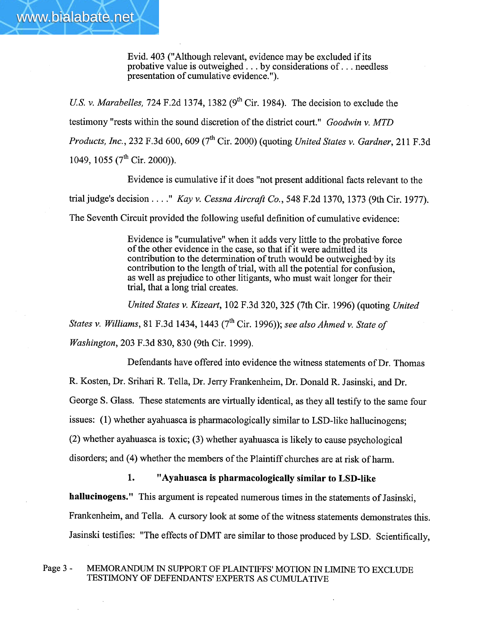Evid. 403 ("Although relevant, evidence may be excluded if its probative value is outweighed. . . by considerations of. . . needless presentation of cumulative evidence. ").

www.bialabate.net

U.S. v. Marabelles, 724 F.2d 1374, 1382 ( $9<sup>th</sup>$  Cir. 1984). The decision to exclude the testimony "rests within the sound discretion of the district court." Goodwin v. MTD Products, Inc., 232 F.3d 600, 609 ( $7<sup>th</sup>$  Cir. 2000) (quoting United States v. Gardner, 211 F.3d 1049, 1055 (7<sup>th</sup> Cir. 2000)).

Evidence is cumulative if it does "not present additional facts relevant to the trial judge's decision...." Kay v. Cessna Aircraft Co., 548 F.2d 1370, 1373 (9th Cir. 1977). The Seventh Circuit provided the following useful definition of cumulative evidence:

> Evidence is "cumulative" when it adds very little to the probative force of the other evidence in the case, so that if it were admitted its contribution to the determination of truth would be outweighed 'by its contribution to the length of trial, with all the potential for confusion, as well as prejudice to other litigants, who must wait longer for their trial, that a long trial creates.

United States v. Kizeart, 102 F.3d 320, 325 (7th Cir. 1996) (quoting United

States v. Williams, 81 F.3d 1434, 1443 ( $7<sup>th</sup>$  Cir. 1996)); see also Ahmed v. State of Washington, 203 F.3d 830, 830 (9th Cir. 1999).

Defendants have offered into evidence the witness statements of Dr. Thomas

R. Kosten, Dr. Srihari R. Tella, Dr. Jerry Frankenheim, Dr. Donald R. Jasinski, and Dr.

George S. Glass. These statements are virtually identical, as they all testify to the same four

issues: (1) whether ayahuasca is pharmacologically similar to LSD-like hallucinogens;

(2) whether ayahuasca is toxic; (3) whether ayahuasca is likely to cause psychological

disorders; and (4) whether the members of the Plaintiff churches are at risk of harm.

## 1. "Ayahuasca is pharmacologically similar to LSD-like

hallucinogens." This argument is repeated numerous times in the statements of Jasinski,

Frankenheim, and Tella. A cursory look at some of the witness statements demonstrates this.

Jasinski testifies: "The effects of DMT are similar to those produced by LSD. Scientifically,

### Page 3 - MEMORANDUM IN SUPPORT OF PLAINTIFFS' MOTION IN LIMINE TO EXCLUDE TESTIMONY OF DEFENDANTS' EXPERTS AS CUMULATIVE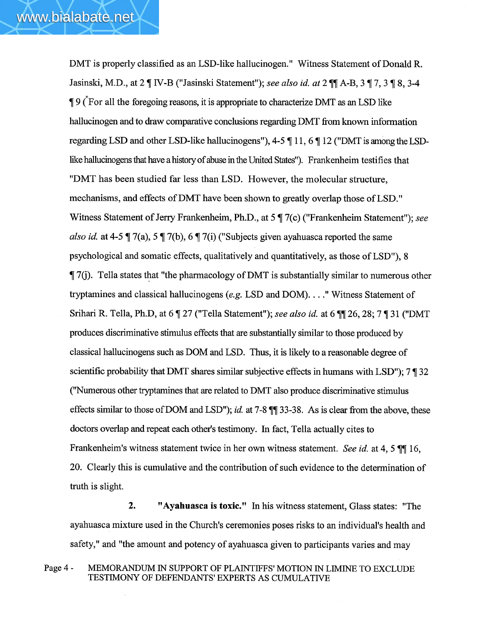DMT is properly classified as an LSD-like hallucinogen." Witness Statement of Donald R. Jasinski, M.D., at 2  $\P$  IV-B ("Jasinski Statement"); see also id. at 2  $\P$  $\P$  A-B, 3  $\P$  7, 3  $\P$  8, 3-4  $\frac{1}{2}$  9 ( $\degree$  For all the foregoing reasons, it is appropriate to characterize DMT as an LSD like halucinogen and to draw comparative conclusions regarding DMT from known information regarding LSD and other LSD-like hallucinogens"),  $4-5 \parallel 11$ ,  $6 \parallel 12$  ("DMT is among the LSDlike hallucinogens that have a history of abuse in the United States"). Frankenheim testifies that "DMT has been studied far less than LSD. However, the molecular structure, mechanisms, and effects of DMT have been shown to greatly overlap those of LSD." Witness Statement of Jerry Frankenheim, Ph.D., at 5  $\P$  7(c) ("Frankenheim Statement"); see also id. at 4-5  $\parallel$  7(a), 5  $\parallel$  7(b), 6  $\parallel$  7(i) ("Subjects given ayahuasca reported the same psychological and somatic effects, qualitatively and quantitatively, as those of LSD"), 8  $\parallel$  7(j). Tella states that "the pharmacology of DMT is substantially similar to numerous other trytamines and classical hallucinogens (e.g. LSD and DOM). . . ." Witness Statement of Srihari R. Tella, Ph.D, at 6  $\llbracket 27 \text{ ("Tella Statement");}$  see also id. at 6  $\llbracket \llbracket 26, 28; 7 \llbracket 31 \text{ ("DMT)}$ produces discriative stiulus effects that are substantially simlar to those produced by classical hallucinogens such as DOM and LSD. Thus, it is likely to a reasonable degree of scientific probability that DMT shares similar subjective effects in humans with  $LSD$ ");  $7 \text{ } \text{\ensuremath{\mathsf{I} \cdot 32}}$ ("Numerous other tryptamines that are related to DMT also produce discriminative stimulus effects similar to those of DOM and LSD"); *id.* at 7-8  $\P$  $\P$  33-38. As is clear from the above, these doctors overlap and repeat each other's testimony. In fact, Tella actually cites to Frankenheim's witness statement twice in her own witness statement. See id. at 4, 5  $\P$  16, 20. Clearly this is cumulative and the contribution of such evidence to the determination of truth is slight.

2. "Ayahuasca is toxic." In his witness statement, Glass states: "The ayahuasca mixture used in the Church's ceremonies poses risks to an individual's health and safety," and "the amount and potency of ayahuasca given to participants varies and may

Page 4 - MEMORANDUM IN SUPPORT OF PLAINTIFFS' MOTION IN LIMINE TO EXCLUDE TESTIMONY OF DEFENDANTS' EXPERTS AS CUMLATIVE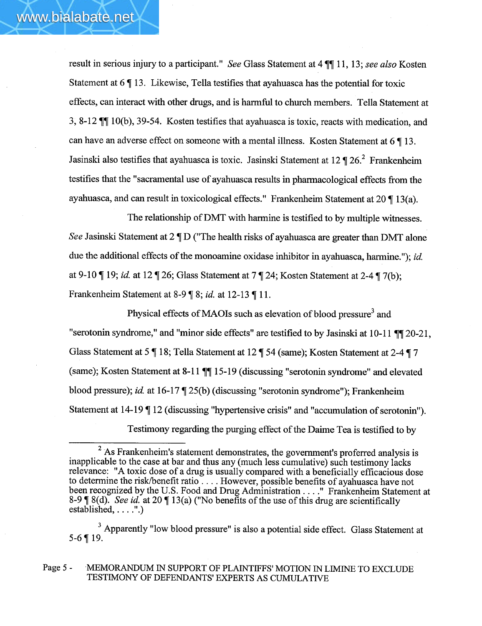result in serious injury to a participant." See Glass Statement at 4  $\P$  11, 13; see also Kosten Statement at  $6 \parallel 13$ . Likewise, Tella testifies that ayahuasca has the potential for toxic effects, can interact with other drugs, and is harmful to church members. Tella Statement at 3, 8-12  $\P$  10(b), 39-54. Kosten testifies that ayahuasca is toxic, reacts with medication, and can have an adverse effect on someone with a mental illness. Kosten Statement at  $6 \parallel 13$ . Jasinski also testifies that ayahuasca is toxic. Jasinski Statement at 12  $\P$  26.<sup>2</sup> Frankenheim testifies that the "sacramental use of ayahuasca results in pharacological effects from the ayahuasca, and can result in toxicological effects." Frankenheim Statement at  $20 \P 13(a)$ .

The relationship of DMT with harmine is testified to by multiple witnesses. See Jasinski Statement at  $2 \P D$  ("The health risks of ayahuasca are greater than DMT alone due the additional effects of the monoamine oxidase inhibitor in ayahuasca, harmine."); id. at 9-10  $\P$  19; id. at 12  $\P$  26; Glass Statement at 7  $\P$  24; Kosten Statement at 2-4  $\P$  7(b); Frankenheim Statement at 8-9  $\parallel$  8; *id.* at 12-13  $\parallel$  11.

Physical effects of MAOIs such as elevation of blood pressure<sup>3</sup> and "serotonin syndrome," and "minor side effects" are testified to by Jasinski at  $10-11$   $\P$  $120-21$ , Glass Statement at 5  $\overline{\P}$  18; Tella Statement at 12  $\overline{\P}$  54 (same); Kosten Statement at 2-4  $\overline{\P}$  7 (same); Kosten Statement at 8-11  $\P\P$  15-19 (discussing "serotonin syndrome" and elevated blood pressure); id. at  $16-17$   $\P$  25(b) (discussing "serotonin syndrome"); Frankenheim Statement at 14-19  $\P$  12 (discussing "hypertensive crisis" and "accumulation of serotonin").

Testimony regarding the purging effect of the Daime Tea is testified to by

Page 5 - MEMORANDUM IN SUPPORT OF PLAINTIFFS' MOTION IN LIMINE TO EXCLUDE TESTIMONY OF DEFENDANTS' EXPERTS AS CUMLATIVE

 $2$  As Frankenheim's statement demonstrates, the government's proferred analysis is inapplicable to the case at bar and thus any (much less cumulative) such testimony lacks relevance: "A toxic dose of a drug is usually compared with a beneficially efficacious dose to determine the risk/benefit ratio.... However, possible benefits of ayahuasca have not been recognized by the U.S. Food and Drug Administration . . . . " Frankenheim Statement at 8-9  $\parallel$  8(d). See id. at 20  $\parallel$  13(a) ("No benefits of the use of this drug are scientifically established, . . . .".)

<sup>&</sup>lt;sup>3</sup> Apparently "low blood pressure" is also a potential side effect. Glass Statement at  $5-6$  | 19.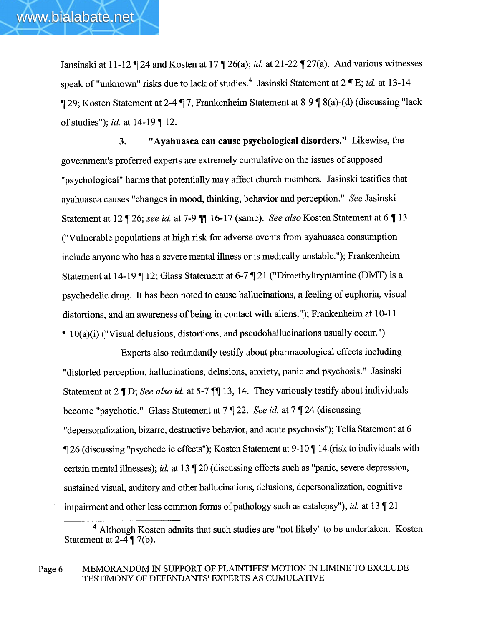Jansinski at 11-12  $\P$  24 and Kosten at 17  $\P$  26(a); *id.* at 21-22  $\P$  27(a). And various witnesses speak of "unknown" risks due to lack of studies.<sup>4</sup> Jasinski Statement at  $2 \nparallel E$ ; *id.* at 13-14 129; Kosten Statement at 2-4 17, Frankenheim Statement at 8-9 18(a)-(d) (discussing "lack of studies"); *id.* at  $14-19$  | 12.

3. "Ayahuasca can cause psychological disorders." Likewise, the government's proferred experts are extremely cumulative on the issues of supposed "psychological" harms that potentially may affect church members. Jasinski testifies that ayahuasca causes "changes in mood, thinking, behavior and perception." See Jasinski Statement at 12 | 26; see id. at 7-9 | 16-17 (same). See also Kosten Statement at 6 | 13 ("Vulnerable populations at high risk for adverse events from ayahuasca consumption include anyone who has a severe mental illness or is medically unstable."); Frankenheim Statement at 14-19  $\P$  12; Glass Statement at 6-7  $\P$  21 ("Dimethyltryptamine (DMT) is a psychedelic drug. It has been noted to cause hallucinations, a feeling of euphoria, visual distortions, and an awareness of being in contact with aliens."); Frankenheim at 10-11  $\parallel$  10(a)(i) ("Visual delusions, distortions, and pseudohallucinations usually occur.")

Experts also redundantly testify about pharmacological effects including "distorted perception, hallucinations, delusions, anxiety, panic and psychosis." Jasinski Statement at  $2 \text{ }\mathbb{T}$  D; See also id. at 5-7  $\mathbb{T}$  13, 14. They variously testify about individuals become "psychotic." Glass Statement at  $7 \sqrt{2}$  22. See id. at  $7 \sqrt{2}$  24 (discussing "depersonalization, bizarre, destructive behavior, and acute psychosis"); Tella Statement at 6  $\parallel$  26 (discussing "psychedelic effects"); Kosten Statement at 9-10  $\parallel$  14 (risk to individuals with certain mental illnesses); id. at 13  $\lll$  20 (discussing effects such as "panic, severe depression, sustained visual, auditory and other hallucinations, delusions, depersonalization, cogntive impairment and other less common forms of pathology such as catalepsy"); *id.* at 13  $\lll$  21

<sup>4</sup> Although Kosten admits that such studies are "not likely" to be undertaken. Kosten Statement at  $2-4 \nvert \nvert 7(b)$ .

Page 6 - MEMORANDUM IN SUPPORT OF PLAINTIFFS' MOTION IN LIMINE TO EXCLUDE TESTIMONY OF DEFENDANTS' EXPERTS AS CUMLATIVE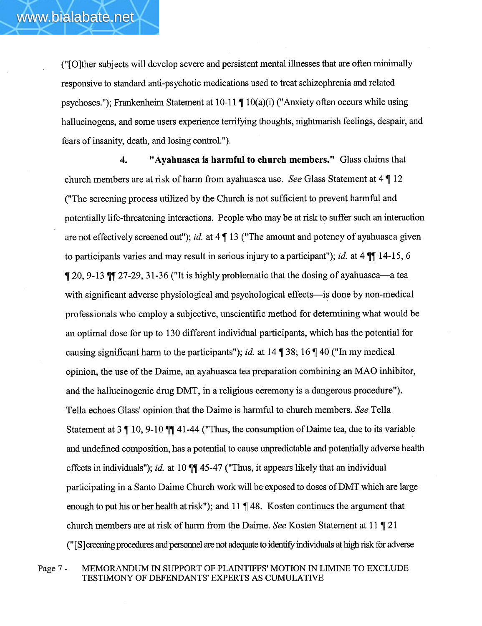("(OJther subjects wil develop severe and persistent mental ilnesses that are often minimally responsive to standard anti-psychotic medications used to treat schizophrenia and related psychoses."); Frankenheim Statement at  $10-11 \text{ T } 10(a)(i)$  ("Anxiety often occurs while using hallucinogens, and some users experience terrifying thoughts, nightmarish feelings, despair, and fears of insanty, death, and losing control. ").

4. "Ayahuasca is harmful to church members." Glass claims that church members are at risk of harm from ayahuasca use. See Glass Statement at  $4 \parallel 12$ ("The screening process utilized by the Church is not suffcient to prevent harmful and potentially life-threatening interactions. People who may be at risk to suffer such an interaction are not effectively screened out"); id. at  $4 \P 13$  ("The amount and potency of ayahuasca given to participants varies and may result in serious injury to a participant"); *id.* at  $4 \text{ }\P\text{ }\P\text{ } 14\text{-}15, 6$  $\parallel$  20, 9-13  $\parallel$  27-29, 31-36 ("It is highly problematic that the dosing of ayahuasca—a tea with significant adverse physiological and psychological effects—is done by non-medical professionals who employ a subjective, unscientific method for determining what would be an optimal dose for up to 130 different individual participants, which has the potential for causing significant harm to the participants"); id. at  $14 \text{ T } 38$ ;  $16 \text{ T } 40$  ("In my medical opinion, the use of the Daime, an ayahuasca tea preparation combining an MAO inhibitor, and the hallucinogenic drug DMT, in a religious ceremony is a dangerous procedure"). Tella echoes Glass' opinion that the Daime is harmful to church members. See Tella Statement at  $3 \nvert 10$ , 9-10  $\nvert \nvert \nvert 41-44$  ("Thus, the consumption of Daime tea, due to its variable and undefined composition, has a potential to cause unpredictable and potentially adverse health effects in individuals"); id. at 10  $\P$  45-47 ("Thus, it appears likely that an individual participating in a Santo Daime Church work will be exposed to doses of DMT which are large enough to put his or her health at risk"); and  $11 \text{ T}$  48. Kosten continues the argument that church members are at risk of harm from the Daime. See Kosten Statement at 11  $\sqrt{\ }$  21 ("[S] creening procedures and personnel are not adequate to identify individuals at high risk for adverse

Page 7 - MEMORANDUM IN SUPPORT OF PLAINTIFFS' MOTION IN LIMINE TO EXCLUDE TESTIMONY OF DEFENDANTS' EXPERTS AS CUMLATIVE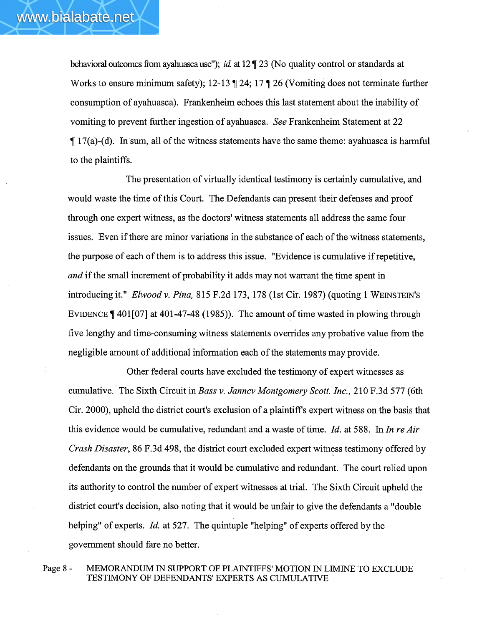behavioral outcomes from ayahuasca use"); id. at  $12 \text{ m}$  23 (No quality control or standards at Works to ensure minimum safety); 12-13  $\parallel$  24; 17  $\parallel$  26 (Vomiting does not terminate further consumption of ayahuasca). Frankenheim echoes this last statement about the inability of vomiting to prevent further ingestion of ayahuasca. See Frankenheim Statement at 22  $\parallel$  17(a)-(d). In sum, all of the witness statements have the same theme: ayahuasca is harmful to the plaintiffs.

The presentation of virtually identical testimony is certainly cumulative, and would waste the time of this Court. The Defendants can present their defenses and proof through one expert witness, as the doctors' witness statements all address the same four issues. Even if there are minor variations in the substance of each of the witness statements, the purpose of each of them is to address this issue. "Evidence is cumulative if repetitive, and if the small increment of probability it adds may not warrant the time spent in introducing it." Elwood v. Pina, 815 F.2d 173, 178 (1st Cir. 1987) (quoting 1 WEINSTEIN'S EVIDENCE  $\llbracket 401[07]$  at 401-47-48 (1985)). The amount of time wasted in plowing through five lengthy and time-consuming witness statements overrdes any probative value from the negligible amount of additional information each of the statements may provide.

Other federal courts have excluded the testimony of expert witnesses as cumulative. The Sixth Circuit in Bass v. Janncv Montgomery Scott. Inc., 210 F.3d 577 (6th Cir. 2000), upheld the district court's exclusion of a plaintiffs expert witness on the basis that this evidence would be cumulative, redundant and a waste of time. Id. at 588. In In re Air Crash Disaster, 86 F.3d 498, the district court excluded expert witness testimony offered by defendants on the grounds that it would be cumulative and redundant. The court relied upon its authority to control the number of expert witnesses at triaL. The Sixth Circuit upheld the district court's decision, also noting that it would be unfair to give the defendants a "double helping" of experts. *Id.* at 527. The quintuple "helping" of experts offered by the governent should fare no better.

Page 8 - MEMORANDUM IN SUPPORT OF PLAINTIFFS' MOTION IN LIMINE TO EXCLUDE TESTIMONY OF DEFENDANTS' EXPERTS AS CUMLATIVE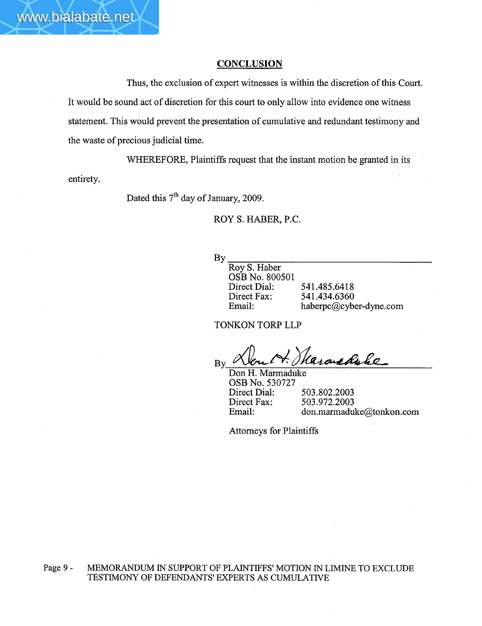### **CONCLUSION**

Thus, the exclusion of expert witnesses is within the discretion of this Court. It would be sound act of discretion for this court to only allow into evidence one witness statement. This would prevent the presentation of cumulative and redundant testimony and the waste of precious judicial time.

WHEREFORE, Plaintiffs request that the instant motion be granted in its entirety.

Dated this  $7<sup>th</sup>$  day of January, 2009.

www.bialabate.net

ROY S. HABER, P.C.

By

Roy S. Haber OSB No. 800501 Direct Dial: Direct Fax: Email:

541.485.6418 541.434.6360 haberpc@cyber-dyne.com

TONKON TORP LLP

By Non M. Skarone Ruke

OSB No. 530727 Direct Dial: Direct Fax: Email: 503.802.2003 503.972.2003 don.marmaduke@tonkon.com

Attorneys for Plaintiffs

Page 9 - MEMORANDUM IN SUPPORT OF PLAINTIFFS' MOTION IN LIMINE TO EXCLUDE TESTIMONY OF DEFENDANTS' EXPERTS AS CUMLATIVE